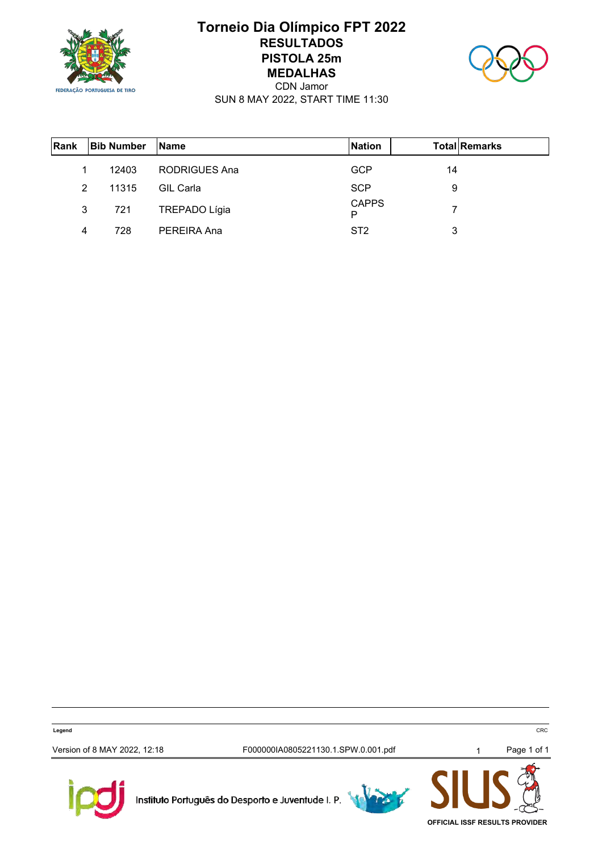

## **Torneio Dia Olímpico FPT 2022 RESULTADOS PISTOLA 25m MEDALHAS** CDN Jamor



SUN 8 MAY 2022, START TIME 11:30

| Rank | <b>Bib Number</b> | <b>Name</b>          | <b>Nation</b>     | <b>Total Remarks</b> |
|------|-------------------|----------------------|-------------------|----------------------|
|      | 12403             | RODRIGUES Ana        | GCP               | 14                   |
| 2    | 11315             | <b>GIL Carla</b>     | <b>SCP</b>        | 9                    |
| 3    | 721               | <b>TREPADO Lígia</b> | <b>CAPPS</b><br>P |                      |
| 4    | 728               | PEREIRA Ana          | ST <sub>2</sub>   | 3                    |

**Legend** CRC

Version of 8 MAY 2022, 12:18 F000000IA0805221130.1.SPW.0.001.pdf 1 Page 1 of 1



Instituto Português do Desporto e Juventude I. P.





**OFFICIAL ISSF RESULTS PROVIDER**